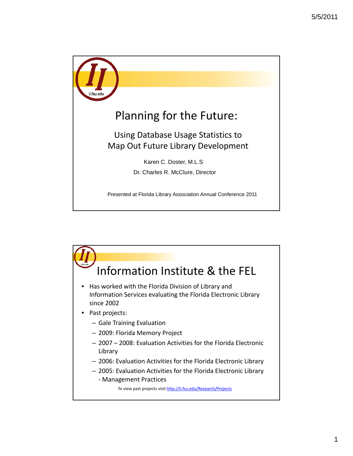

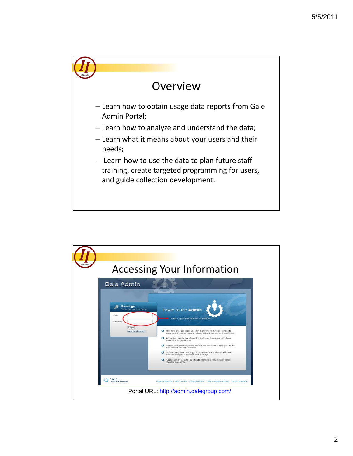

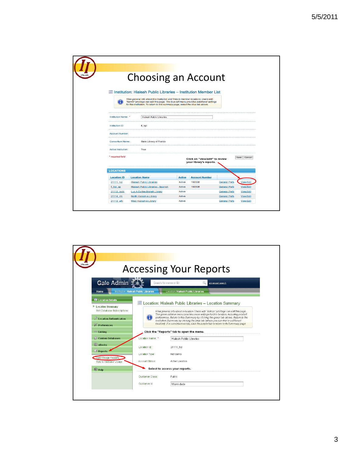|                        | <b>Choosing an Account</b>                                                                                                                                                                                                                                      |               |                                                           |                      |                  |
|------------------------|-----------------------------------------------------------------------------------------------------------------------------------------------------------------------------------------------------------------------------------------------------------------|---------------|-----------------------------------------------------------|----------------------|------------------|
|                        |                                                                                                                                                                                                                                                                 |               |                                                           |                      |                  |
|                        | Institution: Hialeah Public Libraries - Institution Member List                                                                                                                                                                                                 |               |                                                           |                      |                  |
|                        | View general info about this institution and links to member locations. Users with<br>"Admin" privilege can edit this page. The blue left menu provides additional settings<br>for this institution. To return to this summary page, select the blue tab above. |               |                                                           |                      |                  |
| Institution Name: *    | <b>Hialeah Public Libraries</b>                                                                                                                                                                                                                                 |               |                                                           |                      |                  |
| Institution ID:        | fl_hpl                                                                                                                                                                                                                                                          |               |                                                           |                      |                  |
| <b>Account Number:</b> |                                                                                                                                                                                                                                                                 |               |                                                           |                      |                  |
| Consortium Name:       | State Library of Florida                                                                                                                                                                                                                                        |               |                                                           |                      |                  |
| Active Institution:    | True                                                                                                                                                                                                                                                            |               |                                                           |                      |                  |
| * required field       |                                                                                                                                                                                                                                                                 |               | Click on "view/edit" to review<br>your library's reports. |                      | Save<br>Cancel   |
| <b>LOCATIONS</b>       |                                                                                                                                                                                                                                                                 |               |                                                           |                      |                  |
| <b>Location ID</b>     | <b>Location Name</b>                                                                                                                                                                                                                                            | <b>Active</b> | <b>Account Number</b>                                     |                      |                  |
| 21111 hpl              | <b>Hialeah Public Libraries</b>                                                                                                                                                                                                                                 | Active        | 190508                                                    | <b>General Prefs</b> | <b>View/Edit</b> |
| fl hpl sp              | <b>Hialeah Public Libraries - Spanish</b>                                                                                                                                                                                                                       | Active        | 190508                                                    | <b>General Prefs</b> | <b>View/Edit</b> |
| 21112 lacbl            | <b>Lua A Curtiss Branch Library</b>                                                                                                                                                                                                                             | Active        |                                                           | <b>General Prefs</b> | <b>View/Edit</b> |
| 21114 nhl              | North Hialeah e-Library                                                                                                                                                                                                                                         | Active        |                                                           | <b>General Prefs</b> | <b>View/Edit</b> |
| 21113 whl              | West Hialeah e-Library                                                                                                                                                                                                                                          | Active        |                                                           | <b>General Prefs</b> | <b>View/Edit</b> |

|                                                                                                                                                                                                                                                                                                  |                                                                                                          | <b>Accessing Your Reports</b>                                                                                                                                                                                                                                                                                                                                                                                                                                                                                                                                                                                                                                                                |
|--------------------------------------------------------------------------------------------------------------------------------------------------------------------------------------------------------------------------------------------------------------------------------------------------|----------------------------------------------------------------------------------------------------------|----------------------------------------------------------------------------------------------------------------------------------------------------------------------------------------------------------------------------------------------------------------------------------------------------------------------------------------------------------------------------------------------------------------------------------------------------------------------------------------------------------------------------------------------------------------------------------------------------------------------------------------------------------------------------------------------|
| Gale Admin<br>Home.                                                                                                                                                                                                                                                                              | Search for name or ID<br>Institution: Hialeah Public Libraries                                           | Q<br>advanced search<br>Location: Hialeah Public Libraries                                                                                                                                                                                                                                                                                                                                                                                                                                                                                                                                                                                                                                   |
| <b>图 Location Details</b><br>Eocation Summary<br>Edit Database Subscriptions<br><b>Decation Authentication</b><br><b>X</b> Preferences<br><b>Ga</b> Linking<br><b>Custom Databases</b><br><b>EBooks</b><br><b>Eil Reports</b><br>View Usage Reports<br><b>Tips to Increase Usage</b><br>$•$ Help | Location Name: *<br>Location Id:<br>Location Type:<br>Account Status:<br>Customer Class:<br>Customer Id: | Location: Hialeah Public Libraries - Location Summary<br>View general info about a location. Users with "Admin" privilege can edit this page.<br>The green sidebar menu provides more settings for this location, including product<br>preferences. Return to this Summary by clicking the green tab above. Return to the<br>Institution Summary by clicking the blue tab (where you can link to a different<br>location). If a consortium exists, click the purple tab to return to its Summary page.<br>Click the "Reports" tab to open the menu.<br><b>Hialeah Public Libraries</b><br>21111 hpl<br>Not demo<br>Active Location<br>Select to access your reports.<br>Public<br>Miami-dade |
|                                                                                                                                                                                                                                                                                                  |                                                                                                          |                                                                                                                                                                                                                                                                                                                                                                                                                                                                                                                                                                                                                                                                                              |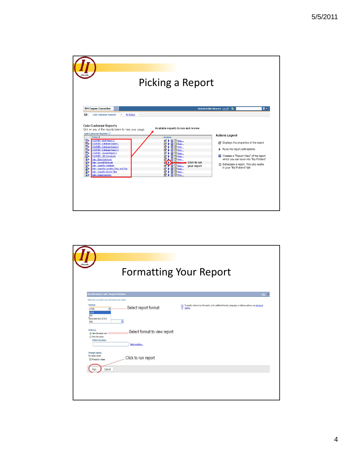

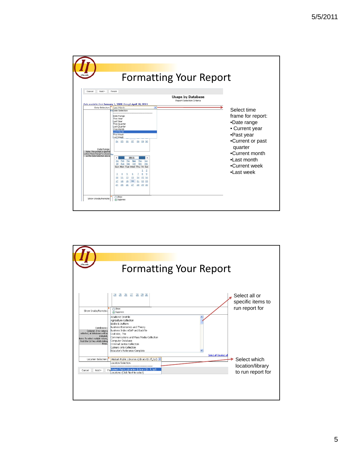

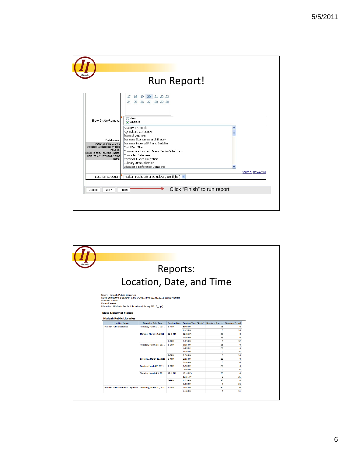| fsu.ed                                                                                                                                                                   | Run Report!                                                                                                                                                                                                                                                                                                       |  |
|--------------------------------------------------------------------------------------------------------------------------------------------------------------------------|-------------------------------------------------------------------------------------------------------------------------------------------------------------------------------------------------------------------------------------------------------------------------------------------------------------------|--|
|                                                                                                                                                                          | 17 18 19 20 21 22 23<br>25 26 27 28 29 30<br>24                                                                                                                                                                                                                                                                   |  |
| Show Inside/Remote:                                                                                                                                                      | Show<br>Suppress                                                                                                                                                                                                                                                                                                  |  |
| Databases:<br>Optional: If no value is<br>selected, all databases will be<br>included.<br>Note: To select multiple values,<br>hold the Ctrl key whild clicking<br>items. | Academic OneFile<br>Agriculture Collection<br>Books & Authors<br>Business Economics and Theory<br>Business Index ASAP and Backfile<br>Civil War, The<br>Communications and Mass Media Collection<br>Computer Database<br>Criminal Justice Collection<br>Culinary Arts Collection<br>Educator's Reference Complete |  |
| Location Selection:                                                                                                                                                      | Select all Deselect all<br>Hialeah Public Libraries (Library ID: fl_hpl) v                                                                                                                                                                                                                                        |  |
| Next ><br>Cancel                                                                                                                                                         | Click "Finish" to run report<br>Finish                                                                                                                                                                                                                                                                            |  |

|                                                                                                                                                                                                      |                           | Reports:            |                      |                         |                       |
|------------------------------------------------------------------------------------------------------------------------------------------------------------------------------------------------------|---------------------------|---------------------|----------------------|-------------------------|-----------------------|
|                                                                                                                                                                                                      | Location, Date, and Time  |                     |                      |                         |                       |
| User: Hialeah Public Libraries<br>Date Selection: Between 03/01/2011 and 03/31/2011 (Last Month)<br><b>Session Time:</b><br>Day of Week:<br>Libraries: Hialeah Public Libraries (Library ID: fl_hpl) |                           |                     |                      |                         |                       |
| <b>State Library of Florida</b><br><b>Hialeah Public Libraries</b>                                                                                                                                   |                           |                     |                      |                         |                       |
| <b>Location Name</b>                                                                                                                                                                                 | <b>Calendar Date Desc</b> | <b>Session Hour</b> | Session Time (5-min) | <b>Sessions Started</b> | <b>Sessions Ended</b> |
| <b>Hialeah Public Libraries</b>                                                                                                                                                                      | Tuesday, March 01, 2011   | 6-7PM               | 6:40 PM              | 26                      | $\mathbf 0$           |
|                                                                                                                                                                                                      |                           |                     | 6:45 PM              | $\mathbf 0$             | 26                    |
|                                                                                                                                                                                                      | Monday, March 14, 2011    | 12-1 PM             | 12:55 PM             | 26                      | o                     |
|                                                                                                                                                                                                      |                           |                     |                      |                         | $\mathbf 0$           |
|                                                                                                                                                                                                      |                           |                     | 1:00 PM              | 26                      |                       |
|                                                                                                                                                                                                      |                           | $1-2$ PM            | 1:05 PM              | $\Omega$                | 52                    |
|                                                                                                                                                                                                      | Tuesday, March 15, 2011   | 1-2PM               | $1:15$ PM            | 26                      | $\mathbf 0$           |
|                                                                                                                                                                                                      |                           |                     | $1:25$ PM            | 26                      | $\bullet$             |
|                                                                                                                                                                                                      |                           |                     | 1:30 PM              | $\mathbf 0$             | 26                    |
|                                                                                                                                                                                                      |                           | $2-3PM$             | 2:30 PM              | $\mathbf 0$             | 26                    |
|                                                                                                                                                                                                      | Saturday, March 19, 2011  | $3-4PM$             | 3:05 PM              | 26                      | $\mathbf{0}$          |
|                                                                                                                                                                                                      |                           |                     | 3:10 PM              | $\mathbf 0$             | 26                    |
|                                                                                                                                                                                                      | Sunday, March 27, 2011    | $1-2$ PM            | $1:50$ PM            | 26                      | $\Omega$              |
|                                                                                                                                                                                                      |                           |                     | 2:00 PM              | $\Omega$                | 26                    |
|                                                                                                                                                                                                      | Tuesday, March 29, 2011   | 12-1 PM             | 12:45 PM             | 26                      | $\mathbf 0$           |
|                                                                                                                                                                                                      |                           |                     | 12:55 PM             | $\bullet$               | 26                    |
|                                                                                                                                                                                                      |                           | 6-7PM               | 6:55 PM              | 26                      | O                     |
|                                                                                                                                                                                                      |                           |                     | 7:00 PM              | $\Omega$                | 26                    |
| Hialeah Public Libraries - Spanish   Thursday, March 17, 2011   1-2PM                                                                                                                                |                           |                     | 1:35 PM<br>1:40 PM   | 60<br>$\mathbf{0}$      | 29<br>31              |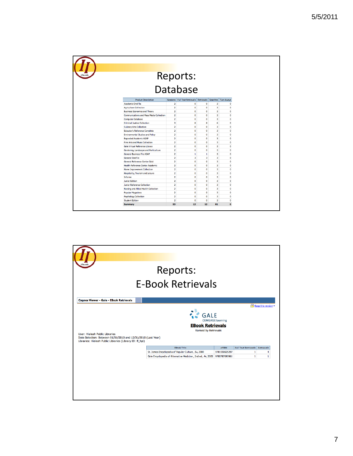| ii.fsu.edu                      |                                                 |                                           |                                                              |                         |                              |                           |
|---------------------------------|-------------------------------------------------|-------------------------------------------|--------------------------------------------------------------|-------------------------|------------------------------|---------------------------|
|                                 |                                                 |                                           |                                                              |                         |                              |                           |
|                                 |                                                 |                                           | Reports:<br>Database                                         |                         |                              |                           |
|                                 |                                                 |                                           |                                                              |                         |                              |                           |
|                                 |                                                 |                                           |                                                              |                         |                              |                           |
|                                 |                                                 |                                           |                                                              |                         |                              |                           |
|                                 | <b>Product Description</b>                      |                                           | Sessions Full Text Retrievals Retrievals Searches Turn-Aways |                         |                              |                           |
| <b>Academic OneFile</b>         |                                                 | 2                                         | 0                                                            | $\mathbf 0$             | 3                            | $\mathbf 0$               |
| <b>Agriculture Collection</b>   |                                                 | $\overline{\mathbf{z}}$<br>$\overline{2}$ | O<br>$\mathbf{0}$                                            | $\bullet$<br>$\bullet$  | 3<br>$\overline{\mathbf{3}}$ | $\bullet$<br>$\bullet$    |
|                                 | <b>Business Economics and Theory</b>            |                                           |                                                              |                         |                              |                           |
|                                 | <b>Communications and Mass Media Collection</b> | $\overline{\mathbf{2}}$                   | O                                                            | $\bullet$               | 3                            | $\bullet$<br>$\mathbf{a}$ |
| <b>Computer Database</b>        |                                                 | $\overline{2}$                            | O                                                            | $\bullet$               | 3                            |                           |
|                                 | <b>Criminal Justice Collection</b>              | 3                                         | 8                                                            | 8                       | 6                            | $\bullet$                 |
| <b>Culinary Arts Collection</b> |                                                 | $\overline{2}$                            | 0                                                            | $\bullet$               | 3                            | $\bullet$                 |
|                                 | <b>Educator's Reference Complete</b>            | $\overline{2}$                            | 0                                                            | $\bullet$               | 3                            | $\bullet$                 |
|                                 | <b>Environmental Studies and Policy</b>         | $\overline{2}$                            | 0                                                            | $\Omega$                | 3                            | $\mathbf{0}$              |
|                                 | <b>Expanded Academic ASAP</b>                   | $\overline{2}$                            | 0                                                            | $\bullet$               | 3                            | $\mathbf{0}$              |
|                                 | <b>Fine Arts and Music Collection</b>           | $\overline{\mathbf{2}}$                   | 0                                                            | $\bullet$               | 3                            | $\mathbf{0}$              |
|                                 | Gale Virtual Reference Library                  | $\overline{2}$                            | 0                                                            | $\mathbf 0$             | 3                            | $\bullet$                 |
|                                 | Gardening, Landscape and Horticulture           | $\overline{2}$                            | 0                                                            | $\mathbf{0}$            | $\overline{3}$               | $\bullet$                 |
|                                 | <b>General Business File ASAP</b>               | $\overline{a}$                            | 1                                                            | $\mathbf{1}$            | $\overline{\mathbf{3}}$      | $\bullet$                 |
| <b>General OneFile</b>          |                                                 | $\overline{a}$                            | 3                                                            | $\overline{\mathbf{3}}$ | $\overline{\mathbf{3}}$      | $\bullet$                 |
|                                 | General Reference Center Gold                   | $\overline{a}$                            | $\mathbf{0}$                                                 | $\bullet$               | $\overline{\mathbf{3}}$      | $\bullet$                 |
|                                 | <b>Health Reference Center Academic</b>         | $\overline{\mathbf{2}}$                   | O                                                            | $\bullet$               | 3                            | $\bullet$                 |
|                                 | Home Improvement Collection                     | $\overline{2}$                            | 0                                                            | $\bullet$               | 3                            | $\bullet$                 |
|                                 | Hospitality, Tourism and Leisure                | $\overline{2}$                            | 0                                                            | $\Omega$                | 3                            | $\mathbf{0}$              |
| Informe                         |                                                 | $\overline{2}$                            | 0                                                            | $\bullet$               | 3                            | $\bullet$                 |
| <b>Junior Edition</b>           |                                                 | $\overline{2}$                            | $\mathbf 0$                                                  | $\Omega$                | $\overline{3}$               | $\mathbf{0}$              |
|                                 | <b>Junior Reference Collection</b>              | $\overline{2}$                            | 0                                                            | $\Omega$                | $\overline{3}$               | $\mathbf{0}$              |
|                                 | Nursing and Allied Health Collection            | $\overline{2}$                            | 0                                                            | $\bullet$               | 3                            | $\bullet$                 |
| <b>Popular Magazines</b>        |                                                 | $\overline{2}$                            | 0                                                            | $\bullet$               | 3                            | $\bullet$                 |
| <b>Psychology Collection</b>    |                                                 | $\overline{2}$                            | 0                                                            | $\mathbf 0$             | 3                            | $\mathbf{0}$              |
| <b>Student Edition</b>          |                                                 | $\overline{2}$                            | $\mathbf 0$                                                  | $\mathbf{0}$            | 3                            | $\mathbf{0}$              |
| <b>Summary</b>                  |                                                 | 53                                        | 12                                                           | 12                      | 81                           | $\bullet$                 |

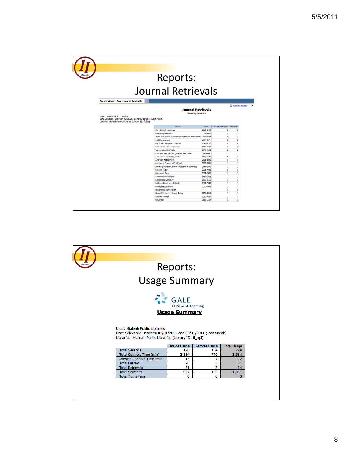|                                                                                                                                                              | Reports:                                                        |                        |                                        |                              |  |
|--------------------------------------------------------------------------------------------------------------------------------------------------------------|-----------------------------------------------------------------|------------------------|----------------------------------------|------------------------------|--|
|                                                                                                                                                              |                                                                 |                        |                                        |                              |  |
|                                                                                                                                                              | Journal Retrievals                                              |                        |                                        |                              |  |
| Cognos Viewer - Gale - Journal Retrievals                                                                                                                    |                                                                 |                        |                                        |                              |  |
| User: Hialeah Public Libraries<br>Date Selection: Between 03/01/2011 and 03/31/2011 (Last Month)<br>Libraries: Hialeah Public Libraries (Library ID: fl_hpl) | <b>Journal Retrievals</b><br>Sorted by Retrievals               |                        |                                        | Keep this version =   >      |  |
|                                                                                                                                                              | Source                                                          | <b>ISSN</b>            | <b>Full Text Retrievals Retrievals</b> |                              |  |
|                                                                                                                                                              | Mayo Clinic Proceedings                                         | 0025-6196              | $\overline{2}$                         | 3                            |  |
|                                                                                                                                                              | <b>USA Today (Magazine)</b>                                     | 0161-7389              | $\overline{2}$                         | 3                            |  |
|                                                                                                                                                              | JAMA, The Journal of the American Medical Association 0098-7484 |                        | ٥                                      | $\overline{2}$               |  |
|                                                                                                                                                              | OBG Management                                                  | 1044-307X              | $\overline{2}$                         | $\overline{2}$               |  |
|                                                                                                                                                              | Psychology & Psychiatry Journal                                 | 1944-2718              | $\overline{2}$                         | $\overline{2}$               |  |
|                                                                                                                                                              | West Virginia Medical Journal                                   | 0043-3284              | 1                                      | $\overline{2}$               |  |
|                                                                                                                                                              |                                                                 |                        |                                        |                              |  |
|                                                                                                                                                              | Women's Health Weekly                                           | 1078-7240              | $\overline{z}$                         | $\overline{z}$               |  |
|                                                                                                                                                              | American Journal of Drug and Alcohol Abuse                      | 0095-2990<br>0002-953X | $\mathbf{1}$<br>$\circ$                | $\mathbf{1}$<br>$\mathbf{1}$ |  |
|                                                                                                                                                              | American Journal of Psychiatry<br>American Medical News         | 0001-1843              | $\mathbf{1}$                           | $\mathbf 1$                  |  |
|                                                                                                                                                              | Archives of Disease in Childhood                                | 0003-9888              | $\mathbf{1}$                           | $\mathbf{1}$                 |  |
|                                                                                                                                                              | Bulletin (Southern California Academy of Sciences)              | 0038-3872              | 1                                      | 1                            |  |
|                                                                                                                                                              | Children Today                                                  | 0361-4336              | $\mathbf{1}$                           | $\mathbf{1}$                 |  |
|                                                                                                                                                              | Community Care                                                  | 0307-5508              | $\mathbf 1$                            | $\mathbf 1$                  |  |
|                                                                                                                                                              | Community Practitioner                                          | 1462-2815              | п.                                     | $\mathbf{1}$                 |  |
|                                                                                                                                                              | Contemporary OB/GYN                                             | 0090-3159              | $\mathbf{1}$                           | $\mathbf 1$                  |  |
|                                                                                                                                                              | Evidence-Based Mental Health                                    | 1362-0347              | 1                                      | 1                            |  |
|                                                                                                                                                              | <b>Family Practice News</b>                                     | 0300-7073              | $\mathbf{1}$                           | $\mathbf 1$                  |  |
|                                                                                                                                                              | Harvard Children's Health                                       |                        | 1                                      | $\mathbf{1}$                 |  |
|                                                                                                                                                              | Harvard Journal of Hispanic Policy                              | 1074-1917              | $\mathbf{1}$                           | $\mathbf 1$                  |  |
|                                                                                                                                                              | National Journal<br>Newsweek                                    | 0360-4217<br>0028-9604 | 1<br>$\mathbf{1}$                      | $\mathbf 1$<br>$\mathbf{1}$  |  |

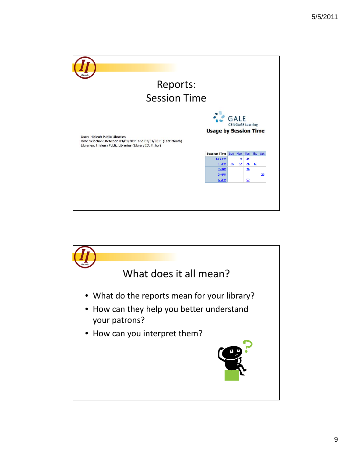

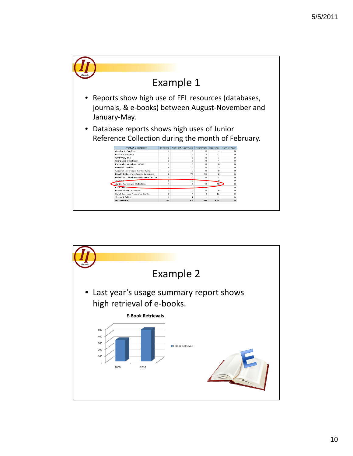

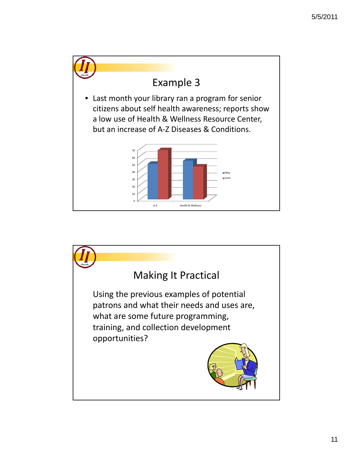

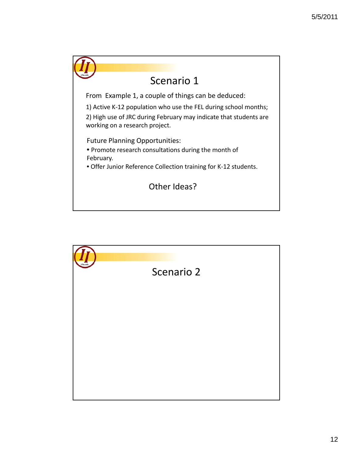

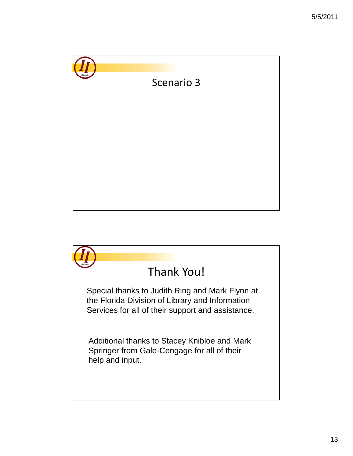